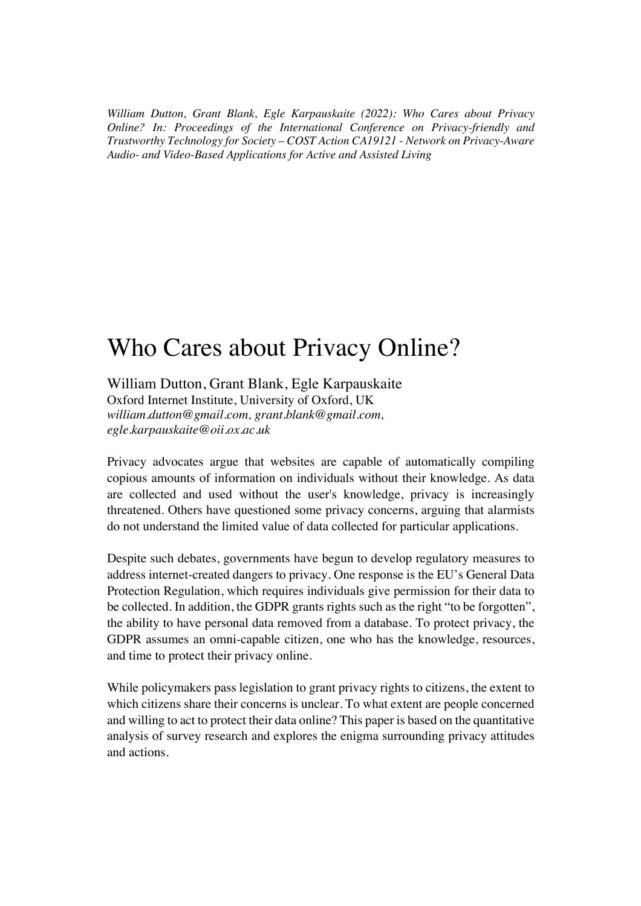*William Dutton, Grant Blank, Egle Karpauskaite (2022): Who Cares about Privacy Online? In: Proceedings of the International Conference on Privacy-friendly and Trustworthy Technology for Society – COST Action CA19121 - Network on Privacy-Aware Audio- and Video-Based Applications for Active and Assisted Living*

## Who Cares about Privacy Online?

William Dutton, Grant Blank, Egle Karpauskaite

Oxford Internet Institute, University of Oxford, UK *william.dutton@gmail.com, grant.blank@gmail.com, egle.karpauskaite@oii.ox.ac.uk*

Privacy advocates argue that websites are capable of automatically compiling copious amounts of information on individuals without their knowledge. As data are collected and used without the user's knowledge, privacy is increasingly threatened. Others have questioned some privacy concerns, arguing that alarmists do not understand the limited value of data collected for particular applications.

Despite such debates, governments have begun to develop regulatory measures to address internet-created dangers to privacy. One response is the EU's General Data Protection Regulation, which requires individuals give permission for their data to be collected. In addition, the GDPR grants rights such as the right "to be forgotten", the ability to have personal data removed from a database. To protect privacy, the GDPR assumes an omni-capable citizen, one who has the knowledge, resources, and time to protect their privacy online.

While policymakers pass legislation to grant privacy rights to citizens, the extent to which citizens share their concerns is unclear. To what extent are people concerned and willing to act to protect their data online? This paper is based on the quantitative analysis of survey research and explores the enigma surrounding privacy attitudes and actions.